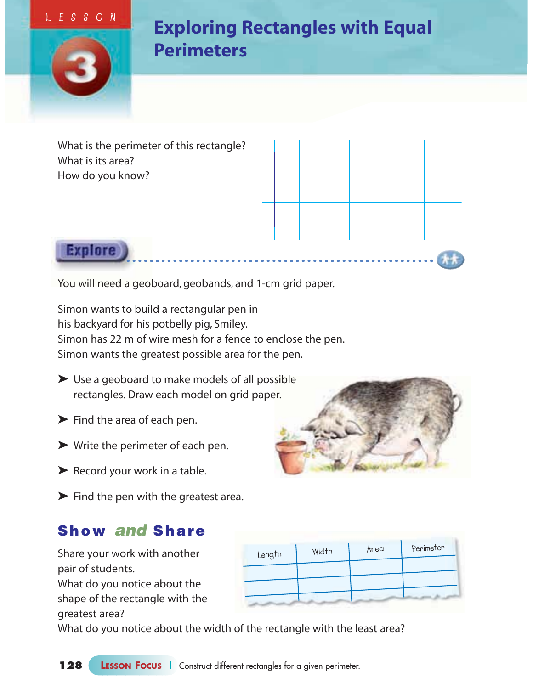#### **LESSON**



**Explore** 

## **Exploring Rectangles with Equal Perimeters**

What is the perimeter of this rectangle? What is its area? How do you know?



You will need a geoboard, geobands, and 1-cm grid paper.

Simon wants to build a rectangular pen in his backyard for his potbelly pig, Smiley. Simon has 22 m of wire mesh for a fence to enclose the pen. Simon wants the greatest possible area for the pen.

- ➤ Use a geoboard to make models of all possible rectangles. Draw each model on grid paper.
- $\blacktriangleright$  Find the area of each pen.
- $\blacktriangleright$  Write the perimeter of each pen.
- ▶ Record your work in a table.
- ➤ Find the pen with the greatest area.

#### **Show and Share**

Share your work with another pair of students. What do you notice about the shape of the rectangle with the greatest area?

| Length | Width | Area | Perimeter |
|--------|-------|------|-----------|
|        |       |      |           |
|        |       |      |           |
|        |       |      |           |
|        |       |      |           |

What do you notice about the width of the rectangle with the least area?

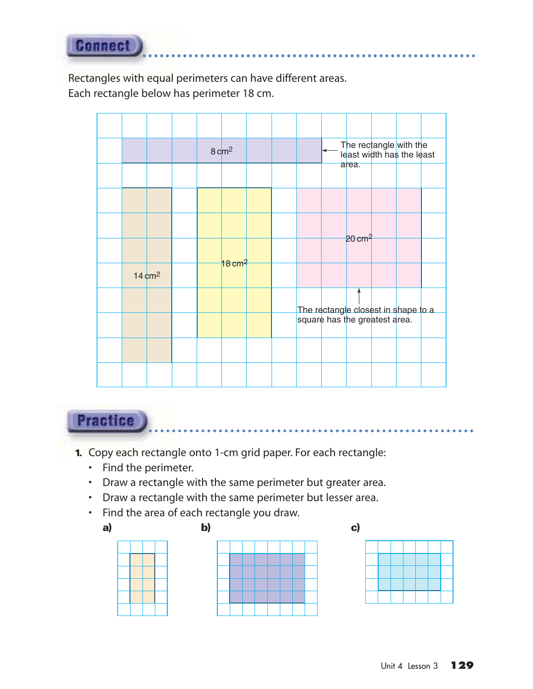**Connect** 

Rectangles with equal perimeters can have different areas. Each rectangle below has perimeter 18 cm.

|  |                   |  | $8 \text{ cm}^2$ |  |  | The rectangle with the<br>least width has the least                  |  |  |
|--|-------------------|--|------------------|--|--|----------------------------------------------------------------------|--|--|
|  |                   |  |                  |  |  | area.                                                                |  |  |
|  |                   |  |                  |  |  |                                                                      |  |  |
|  |                   |  |                  |  |  |                                                                      |  |  |
|  |                   |  |                  |  |  | $20 \text{ cm}^2$                                                    |  |  |
|  | $14 \text{ cm}^2$ |  | 18 $cm2$         |  |  |                                                                      |  |  |
|  |                   |  |                  |  |  |                                                                      |  |  |
|  |                   |  |                  |  |  | The rectangle closest in shape to a<br>square has the greatest area. |  |  |
|  |                   |  |                  |  |  |                                                                      |  |  |
|  |                   |  |                  |  |  |                                                                      |  |  |

### **Practice**

- **1.** Copy each rectangle onto 1-cm grid paper. For each rectangle:
	- Find the perimeter.
	- Draw a rectangle with the same perimeter but greater area.
	- Draw a rectangle with the same perimeter but lesser area.
	- Find the area of each rectangle you draw.







. . . . . . . .

. . . . . . . . . .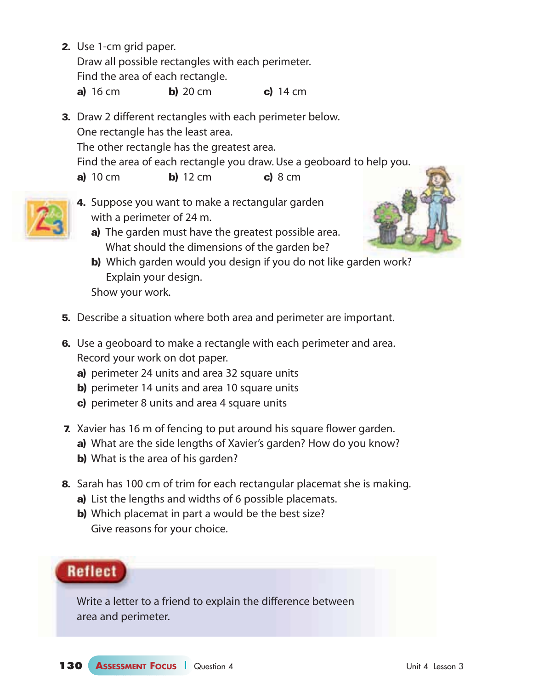**2.** Use 1-cm grid paper.

Draw all possible rectangles with each perimeter. Find the area of each rectangle.

**a)** 16 cm **b)** 20 cm **c)** 14 cm

- **3.** Draw 2 different rectangles with each perimeter below. One rectangle has the least area. The other rectangle has the greatest area. Find the area of each rectangle you draw. Use a geoboard to help you. **a)** 10 cm **b)** 12 cm **c)** 8 cm
- 
- **4.** Suppose you want to make a rectangular garden with a perimeter of 24 m.
	- **a)** The garden must have the greatest possible area. What should the dimensions of the garden be?



- **b)** Which garden would you design if you do not like garden work? Explain your design. Show your work.
- **5.** Describe a situation where both area and perimeter are important.
- **6.** Use a geoboard to make a rectangle with each perimeter and area. Record your work on dot paper.
	- **a)** perimeter 24 units and area 32 square units
	- **b)** perimeter 14 units and area 10 square units
	- **c)** perimeter 8 units and area 4 square units
- **7.** Xavier has 16 m of fencing to put around his square flower garden.
	- **a)** What are the side lengths of Xavier's garden? How do you know?
	- **b)** What is the area of his garden?
- **8.** Sarah has 100 cm of trim for each rectangular placemat she is making.
	- **a)** List the lengths and widths of 6 possible placemats.
	- **b)** Which placemat in part a would be the best size? Give reasons for your choice.

#### **Reflect**

Write a letter to a friend to explain the difference between area and perimeter.